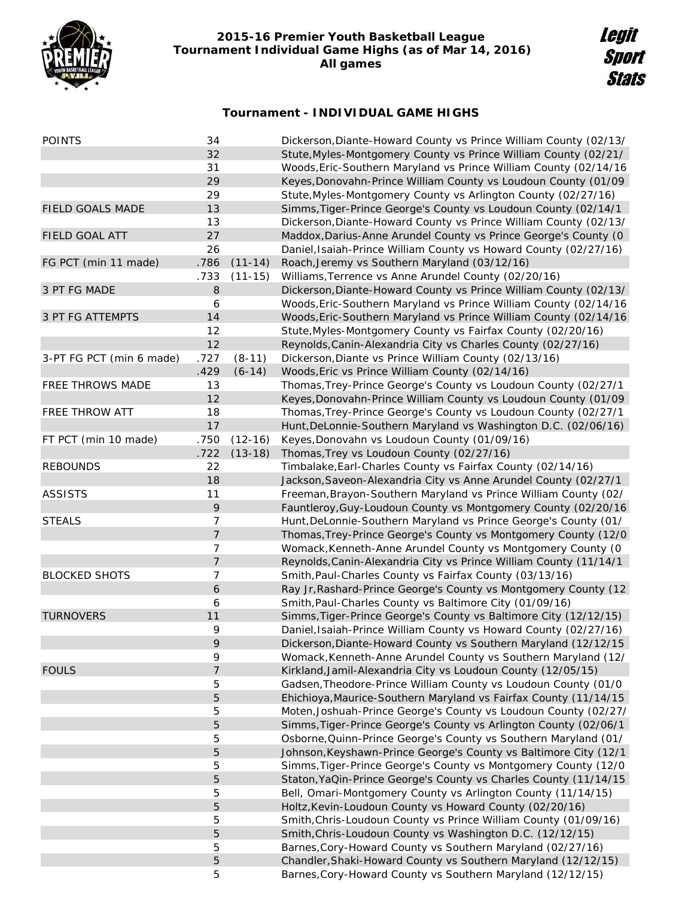

## **2015-16 Premier Youth Basketball League Tournament Individual Game Highs (as of Mar 14, 2016) All games**

## **Legit Sport Stats**

## **Tournament - INDIVIDUAL GAME HIGHS**

| <b>POINTS</b>            | 34             |             | Dickerson, Diante-Howard County vs Prince William County (02/13/  |
|--------------------------|----------------|-------------|-------------------------------------------------------------------|
|                          | 32             |             | Stute, Myles-Montgomery County vs Prince William County (02/21/   |
|                          | 31             |             | Woods, Eric-Southern Maryland vs Prince William County (02/14/16  |
|                          | 29             |             | Keyes, Donovahn-Prince William County vs Loudoun County (01/09    |
|                          | 29             |             | Stute, Myles-Montgomery County vs Arlington County (02/27/16)     |
| FIELD GOALS MADE         | 13             |             | Simms, Tiger-Prince George's County vs Loudoun County (02/14/1    |
|                          | 13             |             | Dickerson, Diante-Howard County vs Prince William County (02/13/  |
| <b>FIELD GOAL ATT</b>    | 27             |             | Maddox, Darius-Anne Arundel County vs Prince George's County (0   |
|                          | 26             |             | Daniel, Isaiah-Prince William County vs Howard County (02/27/16)  |
| FG PCT (min 11 made)     | .786           | $(11 - 14)$ | Roach, Jeremy vs Southern Maryland (03/12/16)                     |
|                          | .733           | $(11-15)$   | Williams, Terrence vs Anne Arundel County (02/20/16)              |
| 3 PT FG MADE             | 8              |             | Dickerson, Diante-Howard County vs Prince William County (02/13/  |
|                          | 6              |             | Woods, Eric-Southern Maryland vs Prince William County (02/14/16  |
| 3 PT FG ATTEMPTS         | 14             |             | Woods, Eric-Southern Maryland vs Prince William County (02/14/16  |
|                          | 12             |             | Stute, Myles-Montgomery County vs Fairfax County (02/20/16)       |
|                          | 12             |             | Reynolds, Canin-Alexandria City vs Charles County (02/27/16)      |
| 3-PT FG PCT (min 6 made) | .727           | $(8-11)$    | Dickerson, Diante vs Prince William County (02/13/16)             |
|                          | .429           | $(6-14)$    | Woods, Eric vs Prince William County (02/14/16)                   |
| FREE THROWS MADE         | 13             |             | Thomas, Trey-Prince George's County vs Loudoun County (02/27/1    |
|                          | 12             |             | Keyes, Donovahn-Prince William County vs Loudoun County (01/09    |
| FREE THROW ATT           | 18             |             | Thomas, Trey-Prince George's County vs Loudoun County (02/27/1    |
|                          | 17             |             | Hunt, DeLonnie-Southern Maryland vs Washington D.C. (02/06/16)    |
| FT PCT (min 10 made)     | .750           | $(12-16)$   | Keyes, Donovahn vs Loudoun County (01/09/16)                      |
|                          | .722           | $(13-18)$   | Thomas, Trey vs Loudoun County (02/27/16)                         |
| <b>REBOUNDS</b>          | 22             |             | Timbalake, Earl-Charles County vs Fairfax County (02/14/16)       |
|                          | 18             |             | Jackson, Saveon-Alexandria City vs Anne Arundel County (02/27/1   |
| <b>ASSISTS</b>           | 11             |             | Freeman, Brayon-Southern Maryland vs Prince William County (02/   |
|                          | 9              |             | Fauntleroy, Guy-Loudoun County vs Montgomery County (02/20/16     |
| <b>STEALS</b>            | 7              |             | Hunt, DeLonnie-Southern Maryland vs Prince George's County (01/   |
|                          | $\overline{7}$ |             | Thomas, Trey-Prince George's County vs Montgomery County (12/0    |
|                          | 7              |             | Womack, Kenneth-Anne Arundel County vs Montgomery County (0       |
|                          | 7              |             | Reynolds, Canin-Alexandria City vs Prince William County (11/14/1 |
| <b>BLOCKED SHOTS</b>     | 7              |             | Smith, Paul-Charles County vs Fairfax County (03/13/16)           |
|                          | 6              |             | Ray Jr, Rashard-Prince George's County vs Montgomery County (12   |
|                          | 6              |             | Smith, Paul-Charles County vs Baltimore City (01/09/16)           |
| <b>TURNOVERS</b>         | 11             |             | Simms, Tiger-Prince George's County vs Baltimore City (12/12/15)  |
|                          | 9              |             | Daniel, Isaiah-Prince William County vs Howard County (02/27/16)  |
|                          | 9              |             | Dickerson, Diante-Howard County vs Southern Maryland (12/12/15    |
|                          | 9              |             | Womack, Kenneth-Anne Arundel County vs Southern Maryland (12/     |
| <b>FOULS</b>             | 7              |             | Kirkland, Jamil-Alexandria City vs Loudoun County (12/05/15)      |
|                          | 5              |             | Gadsen, Theodore-Prince William County vs Loudoun County (01/0    |
|                          | 5              |             | Ehichioya, Maurice-Southern Maryland vs Fairfax County (11/14/15  |
|                          | 5              |             | Moten, Joshuah-Prince George's County vs Loudoun County (02/27/   |
|                          | 5              |             | Simms, Tiger-Prince George's County vs Arlington County (02/06/1  |
|                          | 5              |             | Osborne, Quinn-Prince George's County vs Southern Maryland (01/   |
|                          | 5              |             | Johnson, Keyshawn-Prince George's County vs Baltimore City (12/1  |
|                          | 5              |             | Simms, Tiger-Prince George's County vs Montgomery County (12/0    |
|                          | 5              |             | Staton, YaQin-Prince George's County vs Charles County (11/14/15  |
|                          | 5              |             | Bell, Omari-Montgomery County vs Arlington County (11/14/15)      |
|                          | 5              |             | Holtz, Kevin-Loudoun County vs Howard County (02/20/16)           |
|                          | 5              |             | Smith, Chris-Loudoun County vs Prince William County (01/09/16)   |
|                          | 5              |             | Smith, Chris-Loudoun County vs Washington D.C. (12/12/15)         |
|                          | 5              |             | Barnes, Cory-Howard County vs Southern Maryland (02/27/16)        |
|                          | 5              |             | Chandler, Shaki-Howard County vs Southern Maryland (12/12/15)     |
|                          | 5              |             | Barnes, Cory-Howard County vs Southern Maryland (12/12/15)        |
|                          |                |             |                                                                   |